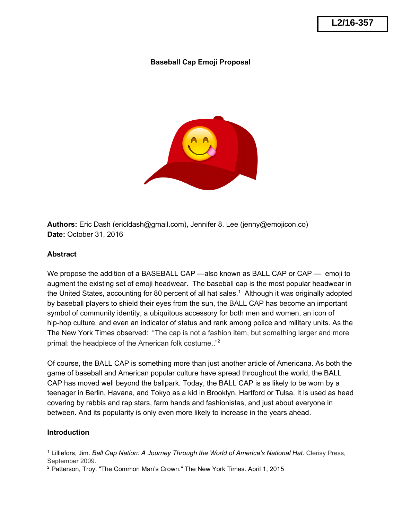# **Baseball Cap Emoji Proposal**



**Authors:** Eric Dash (ericldash@gmail.com), Jennifer 8. Lee (jenny@emojicon.co) **Date:** October 31, 2016

## **Abstract**

We propose the addition of a BASEBALL CAP —also known as BALL CAP or CAP — emoji to augment the existing set of emoji headwear. The baseball cap is the most popular headwear in the United States, accounting for 80 percent of all hat sales.<sup>1</sup> Although it was originally adopted by baseball players to shield their eyes from the sun, the BALL CAP has become an important symbol of community identity, a ubiquitous accessory for both men and women, an icon of hip-hop culture, and even an indicator of status and rank among police and military units. As the The New York Times observed: "The cap is not a fashion item, but something larger and more primal: the headpiece of the American folk costume.." 2

Of course, the BALL CAP is something more than just another article of Americana. As both the game of baseball and American popular culture have spread throughout the world, the BALL CAP has moved well beyond the ballpark. Today, the BALL CAP is as likely to be worn by a teenager in Berlin, Havana, and Tokyo as a kid in Brooklyn, Hartford or Tulsa. It is used as head covering by rabbis and rap stars, farm hands and fashionistas, and just about everyone in between. And its popularity is only even more likely to increase in the years ahead.

#### **Introduction**

<sup>1</sup> Lilliefors, Jim. *Ball Cap Nation: A Journey Through the World of America's National Hat.* Clerisy Press, September 2009.

<sup>&</sup>lt;sup>2</sup> Patterson, Troy. "The Common Man's Crown." The New York Times. April 1, 2015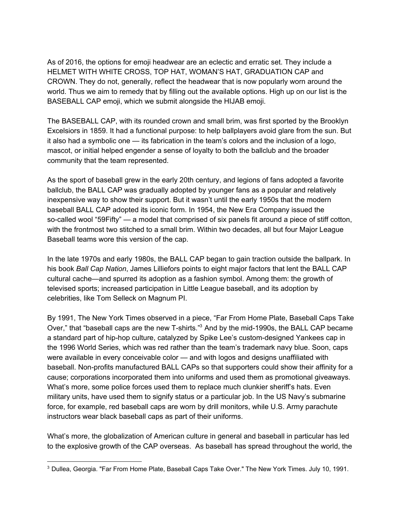As of 2016, the options for emoji headwear are an eclectic and erratic set. They include a HELMET WITH WHITE CROSS, TOP HAT, WOMAN'S HAT, GRADUATION CAP and CROWN. They do not, generally, reflect the headwear that is now popularly worn around the world. Thus we aim to remedy that by filling out the available options. High up on our list is the BASEBALL CAP emoji, which we submit alongside the HIJAB emoji.

The BASEBALL CAP, with its rounded crown and small brim, was first sported by the Brooklyn Excelsiors in 1859. It had a functional purpose: to help ballplayers avoid glare from the sun. But it also had a symbolic one — its fabrication in the team's colors and the inclusion of a logo, mascot, or initial helped engender a sense of loyalty to both the ballclub and the broader community that the team represented.

As the sport of baseball grew in the early 20th century, and legions of fans adopted a favorite ballclub, the BALL CAP was gradually adopted by younger fans as a popular and relatively inexpensive way to show their support. But it wasn't until the early 1950s that the modern baseball BALL CAP adopted its iconic form. In 1954, the New Era Company issued the so-called wool "59Fifty" — a model that comprised of six panels fit around a piece of stiff cotton, with the frontmost two stitched to a small brim. Within two decades, all but four Major League Baseball teams wore this version of the cap.

In the late 1970s and early 1980s, the BALL CAP began to gain traction outside the ballpark. In his book *Ball Cap Nation*, James Lilliefors points to eight major factors that lent the BALL CAP cultural cache—and spurred its adoption as a fashion symbol. Among them: the growth of televised sports; increased participation in Little League baseball, and its adoption by celebrities, like Tom Selleck on Magnum PI.

By 1991, The New York Times observed in a piece, "Far From Home Plate, Baseball Caps Take Over," that "baseball caps are the new T-shirts."<sup>3</sup> And by the mid-1990s, the BALL CAP became a standard part of hip-hop culture, catalyzed by Spike Lee's custom-designed Yankees cap in the 1996 World Series, which was red rather than the team's trademark navy blue. Soon, caps were available in every conceivable color — and with logos and designs unaffiliated with baseball. Non-profits manufactured BALL CAPs so that supporters could show their affinity for a cause; corporations incorporated them into uniforms and used them as promotional giveaways. What's more, some police forces used them to replace much clunkier sheriff's hats. Even military units, have used them to signify status or a particular job. In the US Navy's submarine force, for example, red baseball caps are worn by drill monitors, while U.S. Army parachute instructors wear black baseball caps as part of their uniforms.

What's more, the globalization of American culture in general and baseball in particular has led to the explosive growth of the CAP overseas. As baseball has spread throughout the world, the

<sup>3</sup> Dullea, Georgia. "Far From Home Plate, Baseball Caps Take Over." The New York Times. July 10, 1991.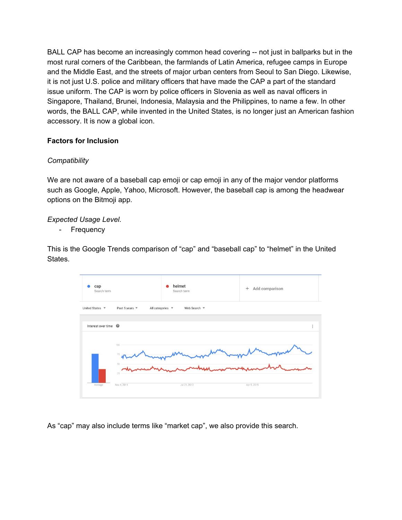BALL CAP has become an increasingly common head covering -- not just in ballparks but in the most rural corners of the Caribbean, the farmlands of Latin America, refugee camps in Europe and the Middle East, and the streets of major urban centers from Seoul to San Diego. Likewise, it is not just U.S. police and military officers that have made the CAP a part of the standard issue uniform. The CAP is worn by police officers in Slovenia as well as naval officers in Singapore, Thailand, Brunei, Indonesia, Malaysia and the Philippines, to name a few. In other words, the BALL CAP, while invented in the United States, is no longer just an American fashion accessory. It is now a global icon.

# **Factors for Inclusion**

# *Compatibility*

We are not aware of a baseball cap emoji or cap emoji in any of the major vendor platforms such as Google, Apple, Yahoo, Microsoft. However, the baseball cap is among the headwear options on the Bitmoji app.

## *Expected Usage Level.*

- Frequency

This is the Google Trends comparison of "cap" and "baseball cap" to "helmet" in the United States.



As "cap" may also include terms like "market cap", we also provide this search.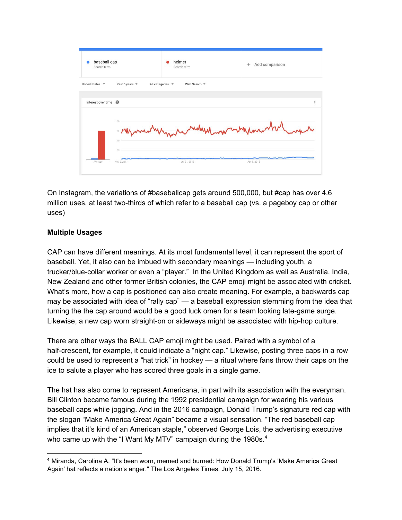

On Instagram, the variations of #baseballcap gets around 500,000, but #cap has over 4.6 million uses, at least two-thirds of which refer to a baseball cap (vs. a pageboy cap or other uses)

## **Multiple Usages**

CAP can have different meanings. At its most fundamental level, it can represent the sport of baseball. Yet, it also can be imbued with secondary meanings — including youth, a trucker/blue-collar worker or even a "player." In the United Kingdom as well as Australia, India, New Zealand and other former British colonies, the CAP emoji might be associated with cricket. What's more, how a cap is positioned can also create meaning. For example, a backwards cap may be associated with idea of "rally cap" — a baseball expression stemming from the idea that turning the the cap around would be a good luck omen for a team looking late-game surge. Likewise, a new cap worn straight-on or sideways might be associated with hip-hop culture.

There are other ways the BALL CAP emoji might be used. Paired with a symbol of a half-crescent, for example, it could indicate a "night cap." Likewise, posting three caps in a row could be used to represent a "hat trick" in hockey — a ritual where fans throw their caps on the ice to salute a player who has scored three goals in a single game.

The hat has also come to represent Americana, in part with its association with the everyman. Bill Clinton became famous during the 1992 presidential campaign for wearing his various baseball caps while jogging. And in the 2016 campaign, Donald Trump's signature red cap with the slogan "Make America Great Again" became a visual sensation. "The red baseball cap implies that it's kind of an American staple," observed George Lois, the advertising executive who came up with the "I Want My MTV" campaign during the 1980s.<sup>4</sup>

<sup>4</sup> Miranda, Carolina A. "It's been worn, memed and burned: How Donald Trump's 'Make America Great Again' hat reflects a nation's anger." The Los Angeles Times. July 15, 2016.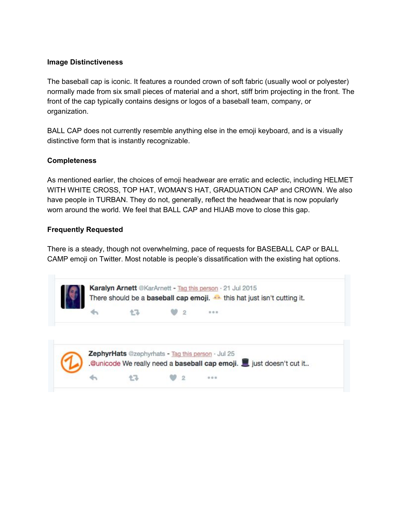#### **Image Distinctiveness**

The baseball cap is iconic. It features a rounded crown of soft fabric (usually wool or polyester) normally made from six small pieces of material and a short, stiff brim projecting in the front. The front of the cap typically contains designs or logos of a baseball team, company, or organization.

BALL CAP does not currently resemble anything else in the emoji keyboard, and is a visually distinctive form that is instantly recognizable.

## **Completeness**

As mentioned earlier, the choices of emoji headwear are erratic and eclectic, including HELMET WITH WHITE CROSS, TOP HAT, WOMAN'S HAT, GRADUATION CAP and CROWN. We also have people in TURBAN. They do not, generally, reflect the headwear that is now popularly worn around the world. We feel that BALL CAP and HIJAB move to close this gap.

## **Frequently Requested**

There is a steady, though not overwhelming, pace of requests for BASEBALL CAP or BALL CAMP emoji on Twitter. Most notable is people's dissatification with the existing hat options.



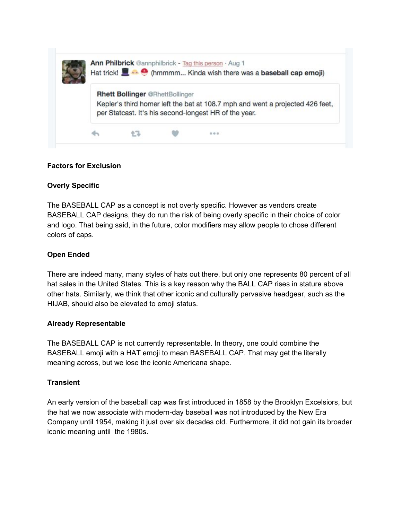

## **Factors for Exclusion**

## **Overly Specific**

The BASEBALL CAP as a concept is not overly specific. However as vendors create BASEBALL CAP designs, they do run the risk of being overly specific in their choice of color and logo. That being said, in the future, color modifiers may allow people to chose different colors of caps.

# **Open Ended**

There are indeed many, many styles of hats out there, but only one represents 80 percent of all hat sales in the United States. This is a key reason why the BALL CAP rises in stature above other hats. Similarly, we think that other iconic and culturally pervasive headgear, such as the HIJAB, should also be elevated to emoji status.

#### **Already Representable**

The BASEBALL CAP is not currently representable. In theory, one could combine the BASEBALL emoji with a HAT emoji to mean BASEBALL CAP. That may get the literally meaning across, but we lose the iconic Americana shape.

#### **Transient**

An early version of the baseball cap was first introduced in 1858 by the Brooklyn Excelsiors, but the hat we now associate with modern-day baseball was not introduced by the New Era Company until 1954, making it just over six decades old. Furthermore, it did not gain its broader iconic meaning until the 1980s.